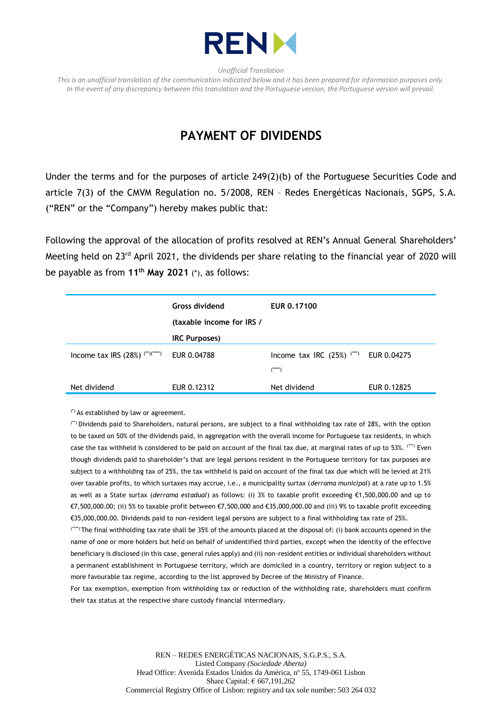

*Unofficial Translation*

*This is an unofficial translation of the communication indicated below and it has been prepared for information purposes only. In the event of any discrepancy between this translation and the Portuguese version, the Portuguese version will prevail.*

## **PAYMENT OF DIVIDENDS**

Under the terms and for the purposes of article 249(2)(b) of the Portuguese Securities Code and article 7(3) of the CMVM Regulation no. 5/2008, REN – Redes Energéticas Nacionais, SGPS, S.A. ("REN" or the "Company") hereby makes public that:

Following the approval of the allocation of profits resolved at REN's Annual General Shareholders' Meeting held on 23<sup>rd</sup> April 2021, the dividends per share relating to the financial year of 2020 will be payable as from **11th May 2021** (\*), as follows:

|                                   | <b>Gross dividend</b><br>(taxable income for IRS / | EUR 0.17100                                |             |
|-----------------------------------|----------------------------------------------------|--------------------------------------------|-------------|
|                                   | <b>IRC Purposes)</b>                               |                                            |             |
| Income tax IRS $(28%)$ (**)(****) | EUR 0.04788                                        | Income tax IRC $(25%)$ $(***)$<br>$(****)$ | EUR 0.04275 |
| Net dividend                      | EUR 0.12312                                        | Net dividend                               | EUR 0.12825 |

(\*) As established by law or agreement.

(\*\*) Dividends paid to Shareholders, natural persons, are subject to a final withholding tax rate of 28%, with the option to be taxed on 50% of the dividends paid, in aggregation with the overall income for Portuguese tax residents, in which case the tax withheld is considered to be paid on account of the final tax due, at marginal rates of up to 53%. (\*\*\*) Even though dividends paid to shareholder's that are legal persons resident in the Portuguese territory for tax purposes are subject to a withholding tax of 25%, the tax withheld is paid on account of the final tax due which will be levied at 21% over taxable profits, to which surtaxes may accrue, i.e., a municipality surtax (*derrama municipal*) at a rate up to 1.5% as well as a State surtax (*derrama estadual*) as follows: (i) 3% to taxable profit exceeding €1,500,000.00 and up to €7,500,000.00; (ii) 5% to taxable profit between €7,500,000 and €35,000,000.00 and (iii) 9% to taxable profit exceeding €35,000,000.00. Dividends paid to non-resident legal persons are subject to a final withholding tax rate of 25%.

(\*\*\*\*) The final withholding tax rate shall be 35% of the amounts placed at the disposal of: (i) bank accounts opened in the name of one or more holders but held on behalf of unidentified third parties, except when the identity of the effective beneficiary is disclosed (in this case, general rules apply) and (ii) non-resident entities or individual shareholders without a permanent establishment in Portuguese territory, which are domiciled in a country, territory or region subject to a more favourable tax regime, according to the list approved by Decree of the Ministry of Finance.

For tax exemption, exemption from withholding tax or reduction of the withholding rate, shareholders must confirm their tax status at the respective share custody financial intermediary.